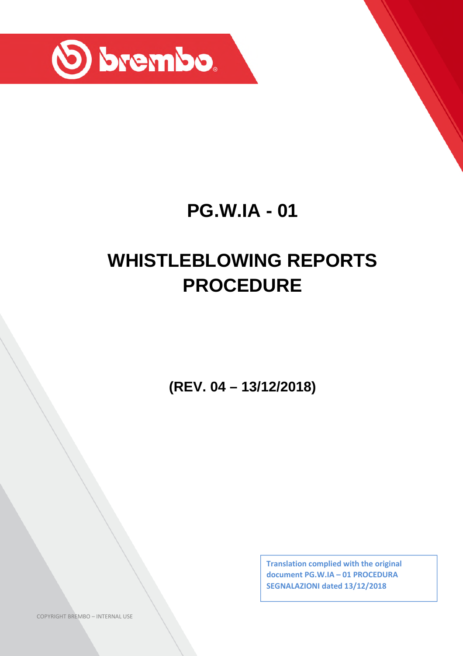

## **PG.W.IA - 01**

# **WHISTLEBLOWING REPORTS PROCEDURE**

**(REV. 04 – 13/12/2018)**

**Translation complied with the original document PG.W.IA – 01 PROCEDURA SEGNALAZIONI dated 13/12/2018**

COPYRIGHT BREMBO – INTERNAL USE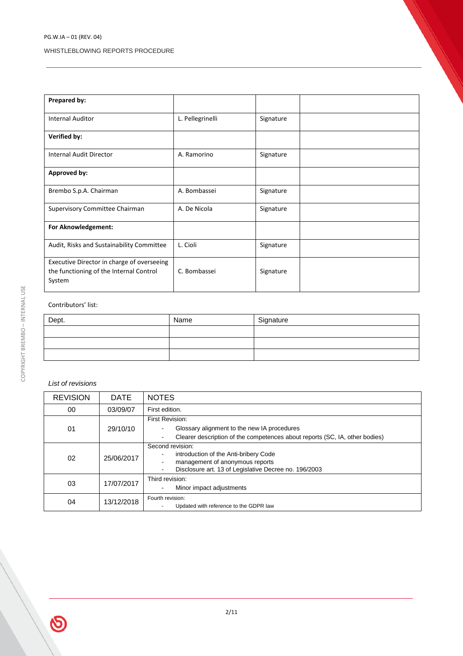| Prepared by:                                                                                    |                  |           |  |
|-------------------------------------------------------------------------------------------------|------------------|-----------|--|
| <b>Internal Auditor</b>                                                                         | L. Pellegrinelli | Signature |  |
| <b>Verified by:</b>                                                                             |                  |           |  |
| <b>Internal Audit Director</b>                                                                  | A. Ramorino      | Signature |  |
| Approved by:                                                                                    |                  |           |  |
| Brembo S.p.A. Chairman                                                                          | A. Bombassei     | Signature |  |
| Supervisory Committee Chairman                                                                  | A. De Nicola     | Signature |  |
| For Aknowledgement:                                                                             |                  |           |  |
| Audit, Risks and Sustainability Committee                                                       | L. Cioli         | Signature |  |
| Executive Director in charge of overseeing<br>the functioning of the Internal Control<br>System | C. Bombassei     | Signature |  |

#### Contributors' list:

| Dept. | Name | Signature |
|-------|------|-----------|
|       |      |           |
|       |      |           |
|       |      |           |

#### *List of revisions*

| <b>REVISION</b> | <b>DATE</b> | <b>NOTES</b>                                                                                                                                                                              |
|-----------------|-------------|-------------------------------------------------------------------------------------------------------------------------------------------------------------------------------------------|
| 00              | 03/09/07    | First edition.                                                                                                                                                                            |
| 01              | 29/10/10    | First Revision:<br>Glossary alignment to the new IA procedures<br>$\blacksquare$<br>Clearer description of the competences about reports (SC, IA, other bodies)<br>$\blacksquare$         |
| 02              | 25/06/2017  | Second revision:<br>introduction of the Anti-bribery Code<br>management of anonymous reports<br>$\blacksquare$<br>Disclosure art. 13 of Legislative Decree no. 196/2003<br>$\blacksquare$ |
| 03              | 17/07/2017  | Third revision:<br>Minor impact adjustments<br>$\blacksquare$                                                                                                                             |
| 04              | 13/12/2018  | Fourth revision:<br>Updated with reference to the GDPR law                                                                                                                                |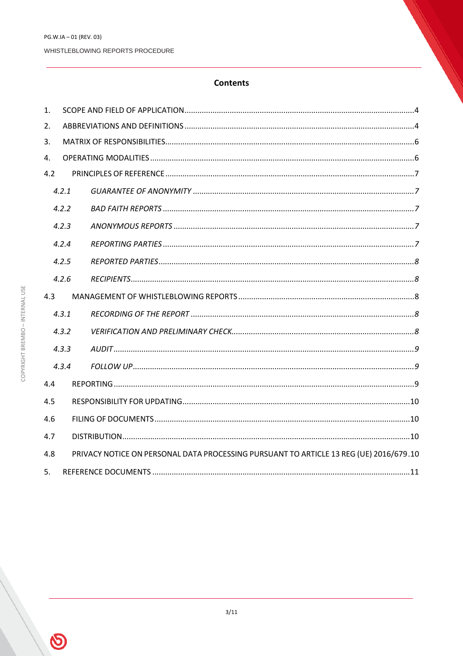#### **Contents**

| $\mathbf{1}$ . |                                                                                        |  |  |  |
|----------------|----------------------------------------------------------------------------------------|--|--|--|
| 2.             |                                                                                        |  |  |  |
| 3.             |                                                                                        |  |  |  |
| 4.             |                                                                                        |  |  |  |
| 4.2            |                                                                                        |  |  |  |
|                | 4.2.1                                                                                  |  |  |  |
|                | 4.2.2                                                                                  |  |  |  |
|                | 4.2.3                                                                                  |  |  |  |
|                | 4.2.4                                                                                  |  |  |  |
|                | 4.2.5                                                                                  |  |  |  |
|                | 4.2.6                                                                                  |  |  |  |
| 4.3            |                                                                                        |  |  |  |
|                | 4.3.1                                                                                  |  |  |  |
|                | 4.3.2                                                                                  |  |  |  |
|                | 4.3.3                                                                                  |  |  |  |
|                | 4.3.4                                                                                  |  |  |  |
| 4.4            |                                                                                        |  |  |  |
| 4.5            |                                                                                        |  |  |  |
| 4.6            |                                                                                        |  |  |  |
| 4.7            |                                                                                        |  |  |  |
| 4.8            | PRIVACY NOTICE ON PERSONAL DATA PROCESSING PURSUANT TO ARTICLE 13 REG (UE) 2016/679.10 |  |  |  |
| 5.             |                                                                                        |  |  |  |

 $\bigcirc$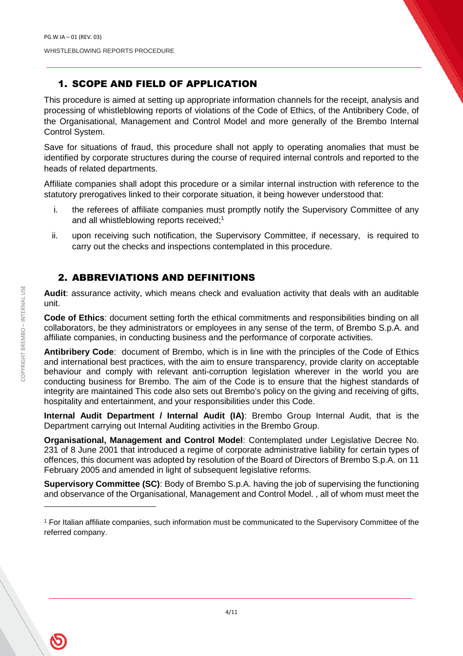## 1. SCOPE AND FIELD OF APPLICATION

This procedure is aimed at setting up appropriate information channels for the receipt, analysis and processing of whistleblowing reports of violations of the Code of Ethics, of the Antibribery Code, of the Organisational, Management and Control Model and more generally of the Brembo Internal Control System.

Save for situations of fraud, this procedure shall not apply to operating anomalies that must be identified by corporate structures during the course of required internal controls and reported to the heads of related departments.

Affiliate companies shall adopt this procedure or a similar internal instruction with reference to the statutory prerogatives linked to their corporate situation, it being however understood that:

- i. the referees of affiliate companies must promptly notify the Supervisory Committee of any and all whistleblowing reports received:<sup>1</sup>
- ii. upon receiving such notification, the Supervisory Committee, if necessary, is required to carry out the checks and inspections contemplated in this procedure.

#### 2. ABBREVIATIONS AND DEFINITIONS

**Audit**: assurance activity, which means check and evaluation activity that deals with an auditable unit.

**Code of Ethics**: document setting forth the ethical commitments and responsibilities binding on all collaborators, be they administrators or employees in any sense of the term, of Brembo S.p.A. and affiliate companies, in conducting business and the performance of corporate activities.

**Antibribery Code**: document of Brembo, which is in line with the principles of the Code of Ethics and international best practices, with the aim to ensure transparency, provide clarity on acceptable behaviour and comply with relevant anti-corruption legislation wherever in the world you are conducting business for Brembo. The aim of the Code is to ensure that the highest standards of integrity are maintained This code also sets out Brembo's policy on the giving and receiving of gifts, hospitality and entertainment, and your responsibilities under this Code.

**Internal Audit Department / Internal Audit (IA)**: Brembo Group Internal Audit, that is the Department carrying out Internal Auditing activities in the Brembo Group.

**Organisational, Management and Control Model**: Contemplated under Legislative Decree No. 231 of 8 June 2001 that introduced a regime of corporate administrative liability for certain types of offences, this document was adopted by resolution of the Board of Directors of Brembo S.p.A. on 11 February 2005 and amended in light of subsequent legislative reforms.

**Supervisory Committee (SC)**: Body of Brembo S.p.A. having the job of supervising the functioning and observance of the Organisational, Management and Control Model. , all of whom must meet the

<sup>1</sup> For Italian affiliate companies, such information must be communicated to the Supervisory Committee of the referred company.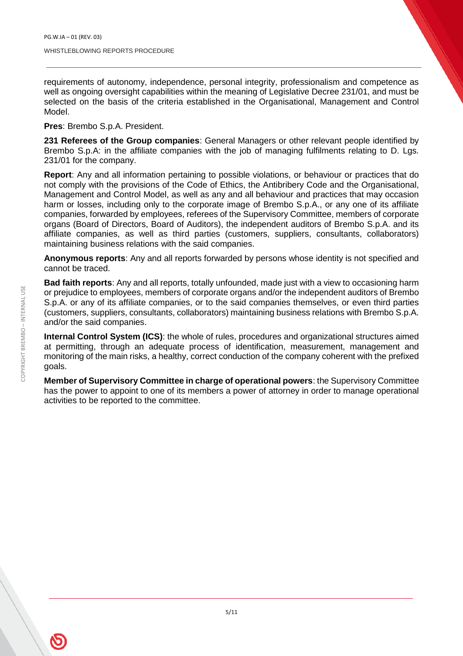requirements of autonomy, independence, personal integrity, professionalism and competence as well as ongoing oversight capabilities within the meaning of Legislative Decree 231/01, and must be selected on the basis of the criteria established in the Organisational, Management and Control Model.

**Pres**: Brembo S.p.A. President.

**231 Referees of the Group companies**: General Managers or other relevant people identified by Brembo S.p.A: in the affiliate companies with the job of managing fulfilments relating to D. Lgs. 231/01 for the company.

**Report**: Any and all information pertaining to possible violations, or behaviour or practices that do not comply with the provisions of the Code of Ethics, the Antibribery Code and the Organisational, Management and Control Model, as well as any and all behaviour and practices that may occasion harm or losses, including only to the corporate image of Brembo S.p.A., or any one of its affiliate companies, forwarded by employees, referees of the Supervisory Committee, members of corporate organs (Board of Directors, Board of Auditors), the independent auditors of Brembo S.p.A. and its affiliate companies, as well as third parties (customers, suppliers, consultants, collaborators) maintaining business relations with the said companies.

**Anonymous reports**: Any and all reports forwarded by persons whose identity is not specified and cannot be traced.

**Bad faith reports**: Any and all reports, totally unfounded, made just with a view to occasioning harm or prejudice to employees, members of corporate organs and/or the independent auditors of Brembo S.p.A. or any of its affiliate companies, or to the said companies themselves, or even third parties (customers, suppliers, consultants, collaborators) maintaining business relations with Brembo S.p.A. and/or the said companies.

**Internal Control System (ICS)**: the whole of rules, procedures and organizational structures aimed at permitting, through an adequate process of identification, measurement, management and monitoring of the main risks, a healthy, correct conduction of the company coherent with the prefixed goals.

**Member of Supervisory Committee in charge of operational powers**: the Supervisory Committee has the power to appoint to one of its members a power of attorney in order to manage operational activities to be reported to the committee.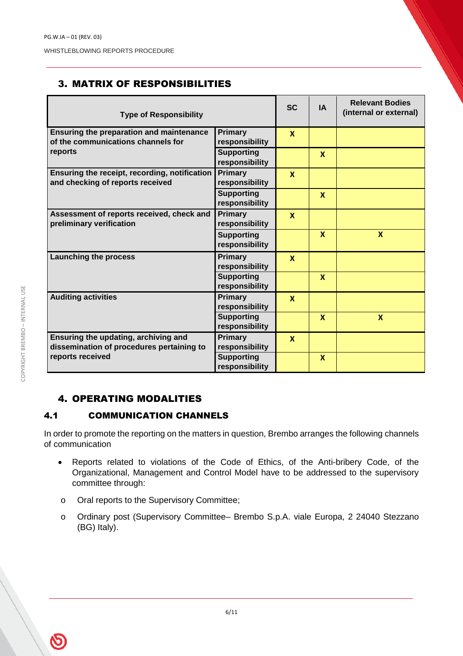## 3. MATRIX OF RESPONSIBILITIES

| <b>Type of Responsibility</b>                                                         |                                     | <b>SC</b>    | <b>IA</b>                 | <b>Relevant Bodies</b><br>(internal or external) |
|---------------------------------------------------------------------------------------|-------------------------------------|--------------|---------------------------|--------------------------------------------------|
| <b>Ensuring the preparation and maintenance</b><br>of the communications channels for | Primary<br>responsibility           | $\mathbf{x}$ |                           |                                                  |
| reports                                                                               | <b>Supporting</b><br>responsibility |              | $\mathbf x$               |                                                  |
| Ensuring the receipt, recording, notification<br>and checking of reports received     | Primary<br>responsibility           | $\mathbf{x}$ |                           |                                                  |
|                                                                                       | <b>Supporting</b><br>responsibility |              | $\boldsymbol{\mathsf{x}}$ |                                                  |
| Assessment of reports received, check and<br>preliminary verification                 | <b>Primary</b><br>responsibility    | $\mathbf{x}$ |                           |                                                  |
|                                                                                       | <b>Supporting</b><br>responsibility |              | $\mathbf{x}$              | $\boldsymbol{x}$                                 |
| <b>Launching the process</b>                                                          | <b>Primary</b><br>responsibility    | $\mathbf{x}$ |                           |                                                  |
|                                                                                       | <b>Supporting</b><br>responsibility |              | $\mathbf{x}$              |                                                  |
| <b>Auditing activities</b>                                                            | <b>Primary</b><br>responsibility    | $\mathbf x$  |                           |                                                  |
|                                                                                       | <b>Supporting</b><br>responsibility |              | $\mathbf{x}$              | $\boldsymbol{\mathsf{x}}$                        |
| Ensuring the updating, archiving and<br>dissemination of procedures pertaining to     | Primary<br>responsibility           | $\mathbf x$  |                           |                                                  |
| reports received                                                                      | <b>Supporting</b><br>responsibility |              | $\mathbf x$               |                                                  |

### 4. OPERATING MODALITIES

#### 4.1 COMMUNICATION CHANNELS

In order to promote the reporting on the matters in question, Brembo arranges the following channels of communication

- Reports related to violations of the Code of Ethics, of the Anti-bribery Code, of the Organizational, Management and Control Model have to be addressed to the supervisory committee through:
- o Oral reports to the Supervisory Committee;
- o Ordinary post (Supervisory Committee– Brembo S.p.A. viale Europa, 2 24040 Stezzano (BG) Italy).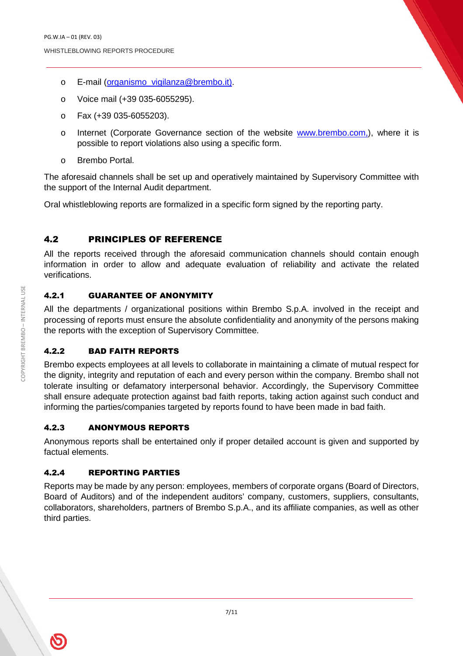- o E-mail (organismo\_vigilanza@brembo.it).
- o Voice mail (+39 035-6055295).
- o Fax (+39 035-6055203).
- o Internet (Corporate Governance section of the website www.brembo.com,), where it is possible to report violations also using a specific form.
- o Brembo Portal.

The aforesaid channels shall be set up and operatively maintained by Supervisory Committee with the support of the Internal Audit department.

Oral whistleblowing reports are formalized in a specific form signed by the reporting party.

#### 4.2 PRINCIPLES OF REFERENCE

All the reports received through the aforesaid communication channels should contain enough information in order to allow and adequate evaluation of reliability and activate the related verifications.

#### 4.2.1 GUARANTEE OF ANONYMITY

All the departments / organizational positions within Brembo S.p.A. involved in the receipt and processing of reports must ensure the absolute confidentiality and anonymity of the persons making the reports with the exception of Supervisory Committee.

#### 4.2.2 BAD FAITH REPORTS

Brembo expects employees at all levels to collaborate in maintaining a climate of mutual respect for the dignity, integrity and reputation of each and every person within the company. Brembo shall not tolerate insulting or defamatory interpersonal behavior. Accordingly, the Supervisory Committee shall ensure adequate protection against bad faith reports, taking action against such conduct and informing the parties/companies targeted by reports found to have been made in bad faith.

#### 4.2.3 ANONYMOUS REPORTS

Anonymous reports shall be entertained only if proper detailed account is given and supported by factual elements.

#### 4.2.4 REPORTING PARTIES

Reports may be made by any person: employees, members of corporate organs (Board of Directors, Board of Auditors) and of the independent auditors' company, customers, suppliers, consultants, collaborators, shareholders, partners of Brembo S.p.A., and its affiliate companies, as well as other third parties.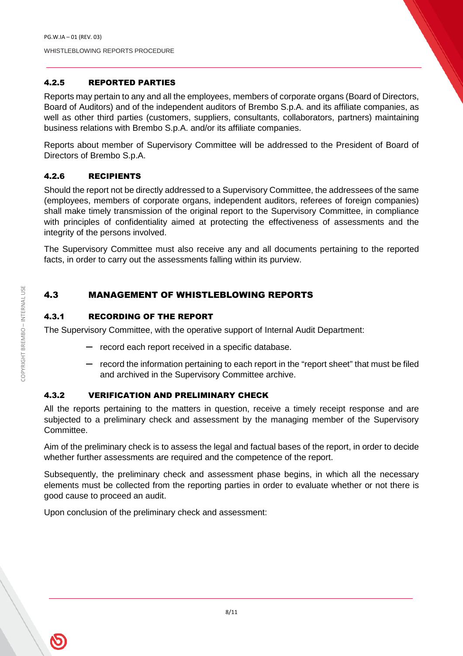#### 4.2.5 REPORTED PARTIES

Reports may pertain to any and all the employees, members of corporate organs (Board of Directors, Board of Auditors) and of the independent auditors of Brembo S.p.A. and its affiliate companies, as well as other third parties (customers, suppliers, consultants, collaborators, partners) maintaining business relations with Brembo S.p.A. and/or its affiliate companies.

Reports about member of Supervisory Committee will be addressed to the President of Board of Directors of Brembo S.p.A.

#### 4.2.6 RECIPIENTS

Should the report not be directly addressed to a Supervisory Committee, the addressees of the same (employees, members of corporate organs, independent auditors, referees of foreign companies) shall make timely transmission of the original report to the Supervisory Committee, in compliance with principles of confidentiality aimed at protecting the effectiveness of assessments and the integrity of the persons involved.

The Supervisory Committee must also receive any and all documents pertaining to the reported facts, in order to carry out the assessments falling within its purview.

#### 4.3 MANAGEMENT OF WHISTLEBLOWING REPORTS

#### 4.3.1 RECORDING OF THE REPORT

The Supervisory Committee, with the operative support of Internal Audit Department:

- record each report received in a specific database.
- record the information pertaining to each report in the "report sheet" that must be filed and archived in the Supervisory Committee archive.

#### 4.3.2 VERIFICATION AND PRELIMINARY CHECK

All the reports pertaining to the matters in question, receive a timely receipt response and are subjected to a preliminary check and assessment by the managing member of the Supervisory Committee.

Aim of the preliminary check is to assess the legal and factual bases of the report, in order to decide whether further assessments are required and the competence of the report.

Subsequently, the preliminary check and assessment phase begins, in which all the necessary elements must be collected from the reporting parties in order to evaluate whether or not there is good cause to proceed an audit.

Upon conclusion of the preliminary check and assessment: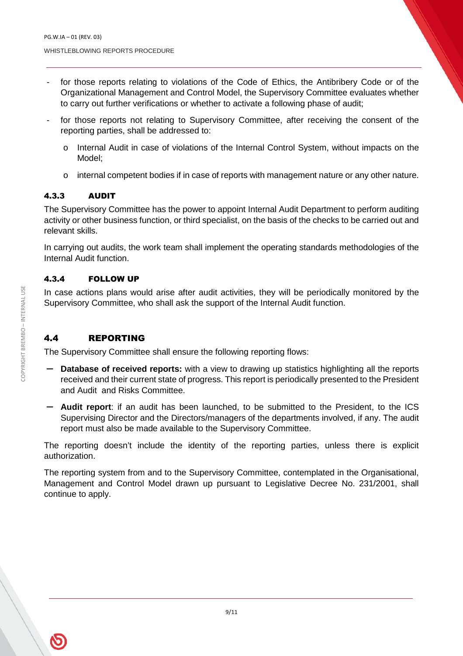- for those reports relating to violations of the Code of Ethics, the Antibribery Code or of the Organizational Management and Control Model, the Supervisory Committee evaluates whether to carry out further verifications or whether to activate a following phase of audit;
- for those reports not relating to Supervisory Committee, after receiving the consent of the reporting parties, shall be addressed to:
	- o Internal Audit in case of violations of the Internal Control System, without impacts on the Model;
	- $\circ$  internal competent bodies if in case of reports with management nature or any other nature.

#### 4.3.3 AUDIT

The Supervisory Committee has the power to appoint Internal Audit Department to perform auditing activity or other business function, or third specialist, on the basis of the checks to be carried out and relevant skills.

In carrying out audits, the work team shall implement the operating standards methodologies of the Internal Audit function.

#### 4.3.4 FOLLOW UP

In case actions plans would arise after audit activities, they will be periodically monitored by the Supervisory Committee, who shall ask the support of the Internal Audit function.

#### 4.4 REPORTING

The Supervisory Committee shall ensure the following reporting flows:

- **Database of received reports:** with a view to drawing up statistics highlighting all the reports received and their current state of progress. This report is periodically presented to the President and Audit and Risks Committee.
- **Audit report**: if an audit has been launched, to be submitted to the President, to the ICS Supervising Director and the Directors/managers of the departments involved, if any. The audit report must also be made available to the Supervisory Committee.

The reporting doesn't include the identity of the reporting parties, unless there is explicit authorization.

The reporting system from and to the Supervisory Committee, contemplated in the Organisational, Management and Control Model drawn up pursuant to Legislative Decree No. 231/2001, shall continue to apply.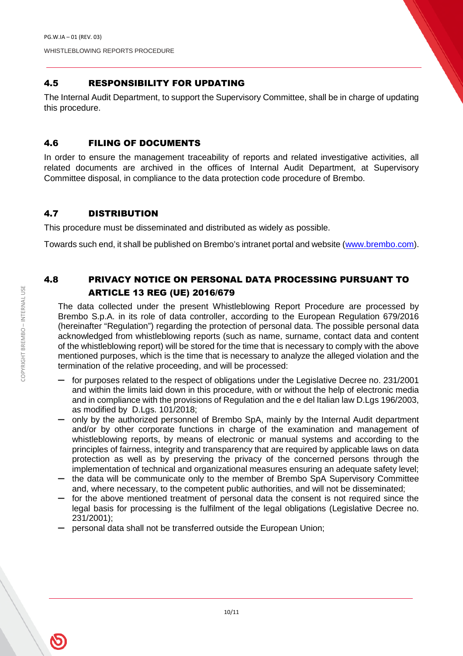#### 4.5 RESPONSIBILITY FOR UPDATING

The Internal Audit Department, to support the Supervisory Committee, shall be in charge of updating this procedure.

#### 4.6 FILING OF DOCUMENTS

In order to ensure the management traceability of reports and related investigative activities, all related documents are archived in the offices of Internal Audit Department, at Supervisory Committee disposal, in compliance to the data protection code procedure of Brembo.

#### 4.7 DISTRIBUTION

This procedure must be disseminated and distributed as widely as possible.

Towards such end, it shall be published on Brembo's intranet portal and website (www.brembo.com).

#### 4.8 PRIVACY NOTICE ON PERSONAL DATA PROCESSING PURSUANT TO ARTICLE 13 REG (UE) 2016/679

The data collected under the present Whistleblowing Report Procedure are processed by Brembo S.p.A. in its role of data controller, according to the European Regulation 679/2016 (hereinafter "Regulation") regarding the protection of personal data. The possible personal data acknowledged from whistleblowing reports (such as name, surname, contact data and content of the whistleblowing report) will be stored for the time that is necessary to comply with the above mentioned purposes, which is the time that is necessary to analyze the alleged violation and the termination of the relative proceeding, and will be processed:

- for purposes related to the respect of obligations under the Legislative Decree no. 231/2001 and within the limits laid down in this procedure, with or without the help of electronic media and in compliance with the provisions of Regulation and the e del Italian law D.Lgs 196/2003, as modified by D.Lgs. 101/2018;
- only by the authorized personnel of Brembo SpA, mainly by the Internal Audit department and/or by other corporate functions in charge of the examination and management of whistleblowing reports, by means of electronic or manual systems and according to the principles of fairness, integrity and transparency that are required by applicable laws on data protection as well as by preserving the privacy of the concerned persons through the implementation of technical and organizational measures ensuring an adequate safety level; — the data will be communicate only to the member of Brembo SpA Supervisory Committee
- and, where necessary, to the competent public authorities, and will not be disseminated;
- for the above mentioned treatment of personal data the consent is not required since the legal basis for processing is the fulfilment of the legal obligations (Legislative Decree no. 231/2001);
- personal data shall not be transferred outside the European Union;